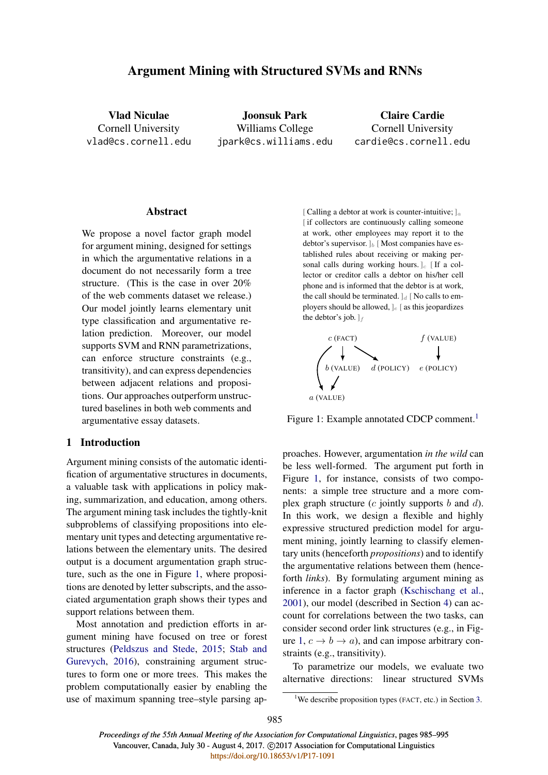# Argument Mining with Structured SVMs and RNNs

Vlad Niculae Cornell University vlad@cs.cornell.edu

Joonsuk Park Williams College jpark@cs.williams.edu

Claire Cardie Cornell University cardie@cs.cornell.edu

### Abstract

We propose a novel factor graph model for argument mining, designed for settings in which the argumentative relations in a document do not necessarily form a tree structure. (This is the case in over 20% of the web comments dataset we release.) Our model jointly learns elementary unit type classification and argumentative relation prediction. Moreover, our model supports SVM and RNN parametrizations, can enforce structure constraints (e.g., transitivity), and can express dependencies between adjacent relations and propositions. Our approaches outperform unstructured baselines in both web comments and argumentative essay datasets.

## 1 Introduction

Argument mining consists of the automatic identification of argumentative structures in documents, a valuable task with applications in policy making, summarization, and education, among others. The argument mining task includes the tightly-knit subproblems of classifying propositions into elementary unit types and detecting argumentative relations between the elementary units. The desired output is a document argumentation graph structure, such as the one in Figure 1, where propositions are denoted by letter subscripts, and the associated argumentation graph shows their types and support relations between them.

Most annotation and prediction efforts in argument mining have focused on tree or forest structures (Peldszus and Stede, 2015; Stab and Gurevych, 2016), constraining argument structures to form one or more trees. This makes the problem computationally easier by enabling the use of maximum spanning tree–style parsing ap-

[ Calling a debtor at work is counter-intuitive;  $]_a$ [if collectors are continuously calling someone] at work, other employees may report it to the debtor's supervisor. ]<sub>b</sub> [Most companies have established rules about receiving or making personal calls during working hours.  $]c$  [If a collector or creditor calls a debtor on his/her cell phone and is informed that the debtor is at work, the call should be terminated.  $]_d$  [ No calls to employers should be allowed,  $]_e$  [ as this jeopardizes the debtor's job.  $\vert_f$ 



Figure 1: Example annotated CDCP comment.<sup>1</sup>

proaches. However, argumentation *in the wild* can be less well-formed. The argument put forth in Figure 1, for instance, consists of two components: a simple tree structure and a more complex graph structure  $(c$  jointly supports b and  $d$ ). In this work, we design a flexible and highly expressive structured prediction model for argument mining, jointly learning to classify elementary units (henceforth *propositions*) and to identify the argumentative relations between them (henceforth *links*). By formulating argument mining as inference in a factor graph (Kschischang et al., 2001), our model (described in Section 4) can account for correlations between the two tasks, can consider second order link structures (e.g., in Figure 1,  $c \rightarrow b \rightarrow a$ ), and can impose arbitrary constraints (e.g., transitivity).

To parametrize our models, we evaluate two alternative directions: linear structured SVMs

<sup>&</sup>lt;sup>1</sup>We describe proposition types (FACT, etc.) in Section 3.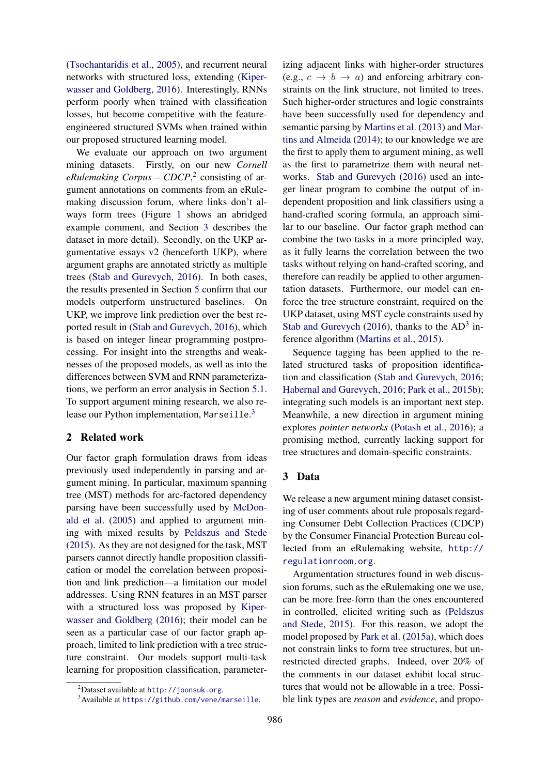(Tsochantaridis et al., 2005), and recurrent neural networks with structured loss, extending (Kiperwasser and Goldberg, 2016). Interestingly, RNNs perform poorly when trained with classification losses, but become competitive with the featureengineered structured SVMs when trained within our proposed structured learning model.

We evaluate our approach on two argument mining datasets. Firstly, on our new *Cornell* eRulemaking Corpus – CDCP,<sup>2</sup> consisting of argument annotations on comments from an eRulemaking discussion forum, where links don't always form trees (Figure 1 shows an abridged example comment, and Section 3 describes the dataset in more detail). Secondly, on the UKP argumentative essays v2 (henceforth UKP), where argument graphs are annotated strictly as multiple trees (Stab and Gurevych, 2016). In both cases, the results presented in Section 5 confirm that our models outperform unstructured baselines. On UKP, we improve link prediction over the best reported result in (Stab and Gurevych, 2016), which is based on integer linear programming postprocessing. For insight into the strengths and weaknesses of the proposed models, as well as into the differences between SVM and RNN parameterizations, we perform an error analysis in Section 5.1. To support argument mining research, we also release our Python implementation, Marseille.<sup>3</sup>

## 2 Related work

Our factor graph formulation draws from ideas previously used independently in parsing and argument mining. In particular, maximum spanning tree (MST) methods for arc-factored dependency parsing have been successfully used by McDonald et al. (2005) and applied to argument mining with mixed results by Peldszus and Stede (2015). As they are not designed for the task, MST parsers cannot directly handle proposition classification or model the correlation between proposition and link prediction—a limitation our model addresses. Using RNN features in an MST parser with a structured loss was proposed by Kiperwasser and Goldberg (2016); their model can be seen as a particular case of our factor graph approach, limited to link prediction with a tree structure constraint. Our models support multi-task learning for proposition classification, parameter-

izing adjacent links with higher-order structures (e.g.,  $c \rightarrow b \rightarrow a$ ) and enforcing arbitrary constraints on the link structure, not limited to trees. Such higher-order structures and logic constraints have been successfully used for dependency and semantic parsing by Martins et al. (2013) and Martins and Almeida (2014); to our knowledge we are the first to apply them to argument mining, as well as the first to parametrize them with neural networks. Stab and Gurevych (2016) used an integer linear program to combine the output of independent proposition and link classifiers using a hand-crafted scoring formula, an approach similar to our baseline. Our factor graph method can combine the two tasks in a more principled way, as it fully learns the correlation between the two tasks without relying on hand-crafted scoring, and therefore can readily be applied to other argumentation datasets. Furthermore, our model can enforce the tree structure constraint, required on the UKP dataset, using MST cycle constraints used by Stab and Gurevych (2016), thanks to the  $AD<sup>3</sup>$  inference algorithm (Martins et al., 2015).

Sequence tagging has been applied to the related structured tasks of proposition identification and classification (Stab and Gurevych, 2016; Habernal and Gurevych, 2016; Park et al., 2015b); integrating such models is an important next step. Meanwhile, a new direction in argument mining explores *pointer networks* (Potash et al., 2016); a promising method, currently lacking support for tree structures and domain-specific constraints.

## 3 Data

We release a new argument mining dataset consisting of user comments about rule proposals regarding Consumer Debt Collection Practices (CDCP) by the Consumer Financial Protection Bureau collected from an eRulemaking website, http:// regulationroom.org.

Argumentation structures found in web discussion forums, such as the eRulemaking one we use, can be more free-form than the ones encountered in controlled, elicited writing such as (Peldszus and Stede, 2015). For this reason, we adopt the model proposed by Park et al. (2015a), which does not constrain links to form tree structures, but unrestricted directed graphs. Indeed, over 20% of the comments in our dataset exhibit local structures that would not be allowable in a tree. Possible link types are *reason* and *evidence*, and propo-

<sup>&</sup>lt;sup>2</sup>Dataset available at http://joonsuk.org.

<sup>3</sup>Available at https://github.com/vene/marseille.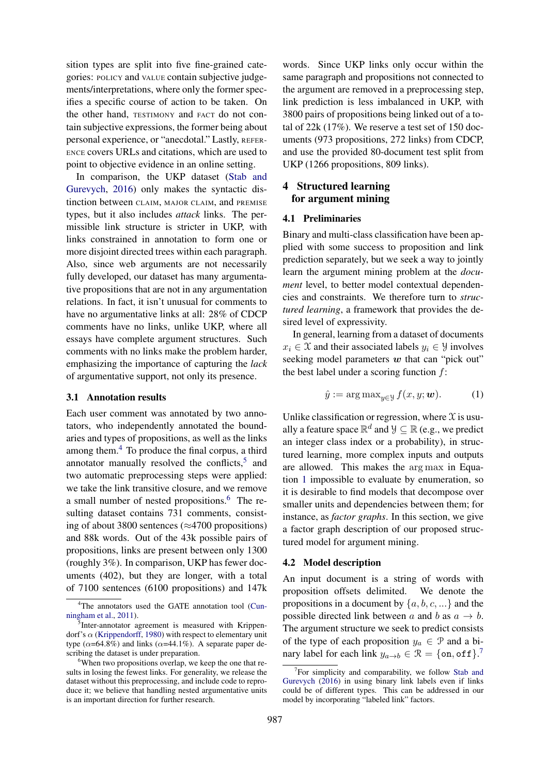sition types are split into five fine-grained categories: POLICY and VALUE contain subjective judgements/interpretations, where only the former specifies a specific course of action to be taken. On the other hand, TESTIMONY and FACT do not contain subjective expressions, the former being about personal experience, or "anecdotal." Lastly, REFER-ENCE covers URLs and citations, which are used to point to objective evidence in an online setting.

In comparison, the UKP dataset (Stab and Gurevych, 2016) only makes the syntactic distinction between CLAIM, MAJOR CLAIM, and PREMISE types, but it also includes *attack* links. The permissible link structure is stricter in UKP, with links constrained in annotation to form one or more disjoint directed trees within each paragraph. Also, since web arguments are not necessarily fully developed, our dataset has many argumentative propositions that are not in any argumentation relations. In fact, it isn't unusual for comments to have no argumentative links at all: 28% of CDCP comments have no links, unlike UKP, where all essays have complete argument structures. Such comments with no links make the problem harder, emphasizing the importance of capturing the *lack* of argumentative support, not only its presence.

#### 3.1 Annotation results

Each user comment was annotated by two annotators, who independently annotated the boundaries and types of propositions, as well as the links among them.<sup>4</sup> To produce the final corpus, a third annotator manually resolved the conflicts, $5$  and two automatic preprocessing steps were applied: we take the link transitive closure, and we remove a small number of nested propositions.<sup>6</sup> The resulting dataset contains 731 comments, consisting of about 3800 sentences ( $\approx$ 4700 propositions) and 88k words. Out of the 43k possible pairs of propositions, links are present between only 1300 (roughly 3%). In comparison, UKP has fewer documents (402), but they are longer, with a total of 7100 sentences (6100 propositions) and 147k

words. Since UKP links only occur within the same paragraph and propositions not connected to the argument are removed in a preprocessing step, link prediction is less imbalanced in UKP, with 3800 pairs of propositions being linked out of a total of 22k (17%). We reserve a test set of 150 documents (973 propositions, 272 links) from CDCP, and use the provided 80-document test split from UKP (1266 propositions, 809 links).

## 4 Structured learning for argument mining

#### 4.1 Preliminaries

Binary and multi-class classification have been applied with some success to proposition and link prediction separately, but we seek a way to jointly learn the argument mining problem at the *document* level, to better model contextual dependencies and constraints. We therefore turn to *structured learning*, a framework that provides the desired level of expressivity.

In general, learning from a dataset of documents  $x_i \in \mathcal{X}$  and their associated labels  $y_i \in \mathcal{Y}$  involves seeking model parameters  $w$  that can "pick out" the best label under a scoring function  $f$ :

$$
\hat{y} := \arg \max_{y \in \mathcal{Y}} f(x, y; \boldsymbol{w}). \tag{1}
$$

Unlike classification or regression, where  $\mathfrak X$  is usually a feature space  $\mathbb{R}^d$  and  $\mathcal{Y} \subseteq \mathbb{R}$  (e.g., we predict an integer class index or a probability), in structured learning, more complex inputs and outputs are allowed. This makes the arg max in Equation 1 impossible to evaluate by enumeration, so it is desirable to find models that decompose over smaller units and dependencies between them; for instance, as *factor graphs*. In this section, we give a factor graph description of our proposed structured model for argument mining.

#### 4.2 Model description

An input document is a string of words with proposition offsets delimited. We denote the propositions in a document by  $\{a, b, c, ...\}$  and the possible directed link between a and b as  $a \rightarrow b$ . The argument structure we seek to predict consists of the type of each proposition  $y_a \in \mathcal{P}$  and a binary label for each link  $y_{a\to b} \in \mathcal{R} = \{\text{on}, \text{off}\}\$ .<sup>7</sup>

<sup>&</sup>lt;sup>4</sup>The annotators used the GATE annotation tool (Cunningham et al., 2011).

<sup>&</sup>lt;sup>5</sup>Inter-annotator agreement is measured with Krippendorf's  $\alpha$  (Krippendorff, 1980) with respect to elementary unit type ( $\alpha$ =64.8%) and links ( $\alpha$ =44.1%). A separate paper describing the dataset is under preparation.

<sup>&</sup>lt;sup>6</sup>When two propositions overlap, we keep the one that results in losing the fewest links. For generality, we release the dataset without this preprocessing, and include code to reproduce it; we believe that handling nested argumentative units is an important direction for further research.

<sup>&</sup>lt;sup>7</sup>For simplicity and comparability, we follow Stab and Gurevych (2016) in using binary link labels even if links could be of different types. This can be addressed in our model by incorporating "labeled link" factors.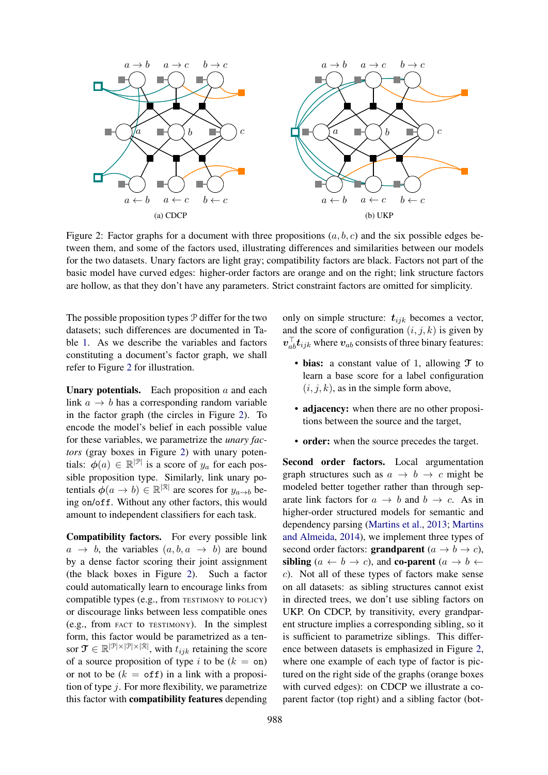

Figure 2: Factor graphs for a document with three propositions  $(a, b, c)$  and the six possible edges between them, and some of the factors used, illustrating differences and similarities between our models for the two datasets. Unary factors are light gray; compatibility factors are black. Factors not part of the basic model have curved edges: higher-order factors are orange and on the right; link structure factors are hollow, as that they don't have any parameters. Strict constraint factors are omitted for simplicity.

The possible proposition types P differ for the two datasets; such differences are documented in Table 1. As we describe the variables and factors constituting a document's factor graph, we shall refer to Figure 2 for illustration.

**Unary potentials.** Each proposition  $a$  and each link  $a \rightarrow b$  has a corresponding random variable in the factor graph (the circles in Figure 2). To encode the model's belief in each possible value for these variables, we parametrize the *unary factors* (gray boxes in Figure 2) with unary potentials:  $\phi(a) \in \mathbb{R}^{|\mathcal{P}|}$  is a score of  $y_a$  for each possible proposition type. Similarly, link unary potentials  $\phi(a \to b) \in \mathbb{R}^{|\mathcal{R}|}$  are scores for  $y_{a \to b}$  being on/off. Without any other factors, this would amount to independent classifiers for each task.

Compatibility factors. For every possible link  $a \rightarrow b$ , the variables  $(a, b, a \rightarrow b)$  are bound by a dense factor scoring their joint assignment (the black boxes in Figure 2). Such a factor could automatically learn to encourage links from compatible types (e.g., from TESTIMONY to POLICY) or discourage links between less compatible ones (e.g., from FACT to TESTIMONY). In the simplest form, this factor would be parametrized as a tensor  $\mathfrak{T} \in \mathbb{R}^{|\mathcal{P}| \times |\mathcal{P}| \times |\mathcal{R}|}$ , with  $t_{ijk}$  retaining the score of a source proposition of type i to be  $(k = \text{on})$ or not to be  $(k = \text{off})$  in a link with a proposition of type  $j$ . For more flexibility, we parametrize this factor with compatibility features depending

only on simple structure:  $t_{ijk}$  becomes a vector, and the score of configuration  $(i, j, k)$  is given by  $v_{ab}^{\dagger}t_{ijk}$  where  $v_{ab}$  consists of three binary features:

- bias: a constant value of 1, allowing  $\mathcal T$  to learn a base score for a label configuration  $(i, j, k)$ , as in the simple form above,
- adjacency: when there are no other propositions between the source and the target,
- order: when the source precedes the target.

Second order factors. Local argumentation graph structures such as  $a \rightarrow b \rightarrow c$  might be modeled better together rather than through separate link factors for  $a \rightarrow b$  and  $b \rightarrow c$ . As in higher-order structured models for semantic and dependency parsing (Martins et al., 2013; Martins and Almeida, 2014), we implement three types of second order factors: **grandparent**  $(a \rightarrow b \rightarrow c)$ , sibling  $(a \leftarrow b \rightarrow c)$ , and co-parent  $(a \rightarrow b \leftarrow$ c). Not all of these types of factors make sense on all datasets: as sibling structures cannot exist in directed trees, we don't use sibling factors on UKP. On CDCP, by transitivity, every grandparent structure implies a corresponding sibling, so it is sufficient to parametrize siblings. This difference between datasets is emphasized in Figure 2, where one example of each type of factor is pictured on the right side of the graphs (orange boxes with curved edges): on CDCP we illustrate a coparent factor (top right) and a sibling factor (bot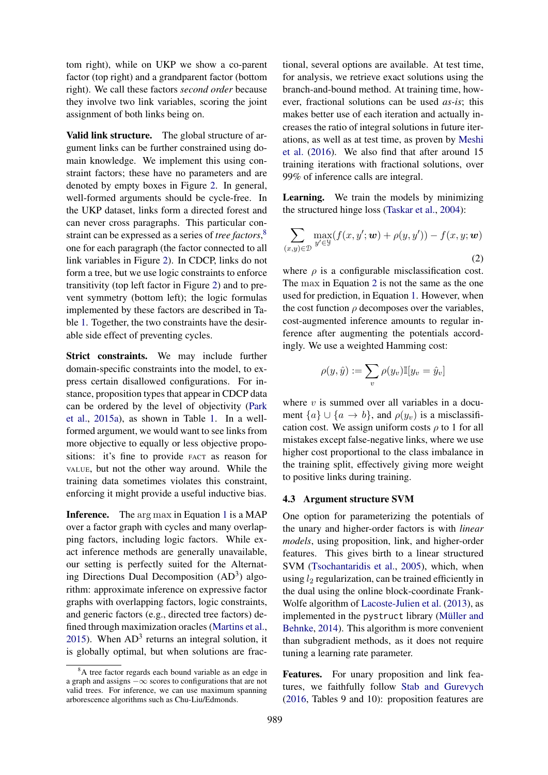tom right), while on UKP we show a co-parent factor (top right) and a grandparent factor (bottom right). We call these factors *second order* because they involve two link variables, scoring the joint assignment of both links being on.

Valid link structure. The global structure of argument links can be further constrained using domain knowledge. We implement this using constraint factors; these have no parameters and are denoted by empty boxes in Figure 2. In general, well-formed arguments should be cycle-free. In the UKP dataset, links form a directed forest and can never cross paragraphs. This particular constraint can be expressed as a series of *tree factors*, 8 one for each paragraph (the factor connected to all link variables in Figure 2). In CDCP, links do not form a tree, but we use logic constraints to enforce transitivity (top left factor in Figure 2) and to prevent symmetry (bottom left); the logic formulas implemented by these factors are described in Table 1. Together, the two constraints have the desirable side effect of preventing cycles.

Strict constraints. We may include further domain-specific constraints into the model, to express certain disallowed configurations. For instance, proposition types that appear in CDCP data can be ordered by the level of objectivity (Park et al., 2015a), as shown in Table 1. In a wellformed argument, we would want to see links from more objective to equally or less objective propositions: it's fine to provide FACT as reason for VALUE, but not the other way around. While the training data sometimes violates this constraint, enforcing it might provide a useful inductive bias.

Inference. The arg max in Equation 1 is a MAP over a factor graph with cycles and many overlapping factors, including logic factors. While exact inference methods are generally unavailable, our setting is perfectly suited for the Alternating Directions Dual Decomposition (AD<sup>3</sup>) algorithm: approximate inference on expressive factor graphs with overlapping factors, logic constraints, and generic factors (e.g., directed tree factors) defined through maximization oracles (Martins et al., 2015). When  $AD<sup>3</sup>$  returns an integral solution, it is globally optimal, but when solutions are frac-

tional, several options are available. At test time, for analysis, we retrieve exact solutions using the branch-and-bound method. At training time, however, fractional solutions can be used *as-is*; this makes better use of each iteration and actually increases the ratio of integral solutions in future iterations, as well as at test time, as proven by Meshi et al. (2016). We also find that after around 15 training iterations with fractional solutions, over 99% of inference calls are integral.

Learning. We train the models by minimizing the structured hinge loss (Taskar et al., 2004):

$$
\sum_{(x,y)\in\mathcal{D}} \max_{y'\in\mathcal{Y}} (f(x,y';\boldsymbol{w}) + \rho(y,y')) - f(x,y;\boldsymbol{w})
$$
\n(2)

where  $\rho$  is a configurable misclassification cost. The max in Equation 2 is not the same as the one used for prediction, in Equation 1. However, when the cost function  $\rho$  decomposes over the variables, cost-augmented inference amounts to regular inference after augmenting the potentials accordingly. We use a weighted Hamming cost:

$$
\rho(y,\hat{y}) := \sum_v \rho(y_v) \mathbb{I}[y_v = \hat{y}_v]
$$

where  $v$  is summed over all variables in a document  $\{a\} \cup \{a \rightarrow b\}$ , and  $\rho(y_v)$  is a misclassification cost. We assign uniform costs  $\rho$  to 1 for all mistakes except false-negative links, where we use higher cost proportional to the class imbalance in the training split, effectively giving more weight to positive links during training.

#### 4.3 Argument structure SVM

One option for parameterizing the potentials of the unary and higher-order factors is with *linear models*, using proposition, link, and higher-order features. This gives birth to a linear structured SVM (Tsochantaridis et al., 2005), which, when using  $l_2$  regularization, can be trained efficiently in the dual using the online block-coordinate Frank-Wolfe algorithm of Lacoste-Julien et al. (2013), as implemented in the pystruct library (Müller and Behnke, 2014). This algorithm is more convenient than subgradient methods, as it does not require tuning a learning rate parameter.

Features. For unary proposition and link features, we faithfully follow Stab and Gurevych (2016, Tables 9 and 10): proposition features are

<sup>&</sup>lt;sup>8</sup>A tree factor regards each bound variable as an edge in a graph and assigns −∞ scores to configurations that are not valid trees. For inference, we can use maximum spanning arborescence algorithms such as Chu-Liu/Edmonds.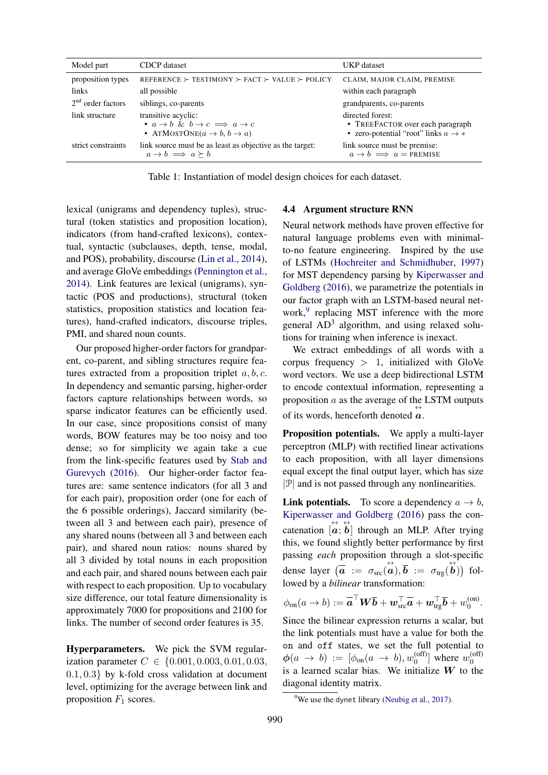| Model part                 | CDCP dataset                                                                                                                                | UKP dataset                                                                                             |
|----------------------------|---------------------------------------------------------------------------------------------------------------------------------------------|---------------------------------------------------------------------------------------------------------|
| proposition types<br>links | REFERENCE $\succ$ TESTIMONY $\succ$ FACT $\succ$ VALUE $\succ$ POLICY<br>all possible                                                       | CLAIM, MAJOR CLAIM, PREMISE<br>within each paragraph                                                    |
| $2nd$ order factors        | siblings, co-parents                                                                                                                        | grandparents, co-parents                                                                                |
| link structure             | transitive acyclic:<br>• $a \rightarrow b$ & $b \rightarrow c \implies a \rightarrow c$<br>• ATMOSTONE $(a \rightarrow b, b \rightarrow a)$ | directed forest:<br>• TREEFACTOR over each paragraph<br>• zero-potential "root" links $a \rightarrow *$ |
| strict constraints         | link source must be as least as objective as the target:<br>$a \rightarrow b \implies a \succ b$                                            | link source must be premise:<br>$a \rightarrow b \implies a = \text{PREMISE}$                           |

Table 1: Instantiation of model design choices for each dataset.

lexical (unigrams and dependency tuples), structural (token statistics and proposition location), indicators (from hand-crafted lexicons), contextual, syntactic (subclauses, depth, tense, modal, and POS), probability, discourse (Lin et al., 2014), and average GloVe embeddings (Pennington et al., 2014). Link features are lexical (unigrams), syntactic (POS and productions), structural (token statistics, proposition statistics and location features), hand-crafted indicators, discourse triples, PMI, and shared noun counts.

Our proposed higher-order factors for grandparent, co-parent, and sibling structures require features extracted from a proposition triplet  $a, b, c$ . In dependency and semantic parsing, higher-order factors capture relationships between words, so sparse indicator features can be efficiently used. In our case, since propositions consist of many words, BOW features may be too noisy and too dense; so for simplicity we again take a cue from the link-specific features used by Stab and Gurevych (2016). Our higher-order factor features are: same sentence indicators (for all 3 and for each pair), proposition order (one for each of the 6 possible orderings), Jaccard similarity (between all 3 and between each pair), presence of any shared nouns (between all 3 and between each pair), and shared noun ratios: nouns shared by all 3 divided by total nouns in each proposition and each pair, and shared nouns between each pair with respect to each proposition. Up to vocabulary size difference, our total feature dimensionality is approximately 7000 for propositions and 2100 for links. The number of second order features is 35.

Hyperparameters. We pick the SVM regularization parameter  $C \in \{0.001, 0.003, 0.01, 0.03,$ 0.1, 0.3} by k-fold cross validation at document level, optimizing for the average between link and proposition  $F_1$  scores.

### 4.4 Argument structure RNN

Neural network methods have proven effective for natural language problems even with minimalto-no feature engineering. Inspired by the use of LSTMs (Hochreiter and Schmidhuber, 1997) for MST dependency parsing by Kiperwasser and Goldberg (2016), we parametrize the potentials in our factor graph with an LSTM-based neural network,<sup>9</sup> replacing MST inference with the more general AD<sup>3</sup> algorithm, and using relaxed solutions for training when inference is inexact.

We extract embeddings of all words with a corpus frequency  $> 1$ , initialized with GloVe word vectors. We use a deep bidirectional LSTM to encode contextual information, representing a proposition a as the average of the LSTM outputs of its words, henceforth denoted  $\overrightarrow{a}$ .

Proposition potentials. We apply a multi-layer perceptron (MLP) with rectified linear activations to each proposition, with all layer dimensions equal except the final output layer, which has size  $|\mathcal{P}|$  and is not passed through any nonlinearities.

**Link potentials.** To score a dependency  $a \rightarrow b$ , Kiperwasser and Goldberg (2016) pass the concatenation  $[\vec{a}; \vec{b}]$  through an MLP. After trying this, we found slightly better performance by first passing *each* proposition through a slot-specific dense layer  $\left(\overrightarrow{a} \right) := \sigma_{\rm src}(\overrightarrow{a}), \overrightarrow{b} := \sigma_{\rm trg}(\overrightarrow{b})$  followed by a *bilinear* transformation:

$$
\phi_{\text{on}}(a \to b) := \overline{\mathbf{a}}^{\top} \mathbf{W} \overline{\mathbf{b}} + \mathbf{w}_{\text{src}}^{\top} \overline{\mathbf{a}} + \mathbf{w}_{\text{trg}}^{\top} \overline{\mathbf{b}} + w_{0}^{(\text{on})}.
$$

Since the bilinear expression returns a scalar, but the link potentials must have a value for both the on and off states, we set the full potential to  $\phi(a \rightarrow b) := [\phi_{on}(a \rightarrow b), w_0^{(off)}]$  $w_0^{\text{(off)}}$ ] where  $w_0^{\text{(off)}}$  $\overline{0}$ is a learned scalar bias. We initialize  $W$  to the diagonal identity matrix.

<sup>&</sup>lt;sup>9</sup>We use the dynet library (Neubig et al., 2017).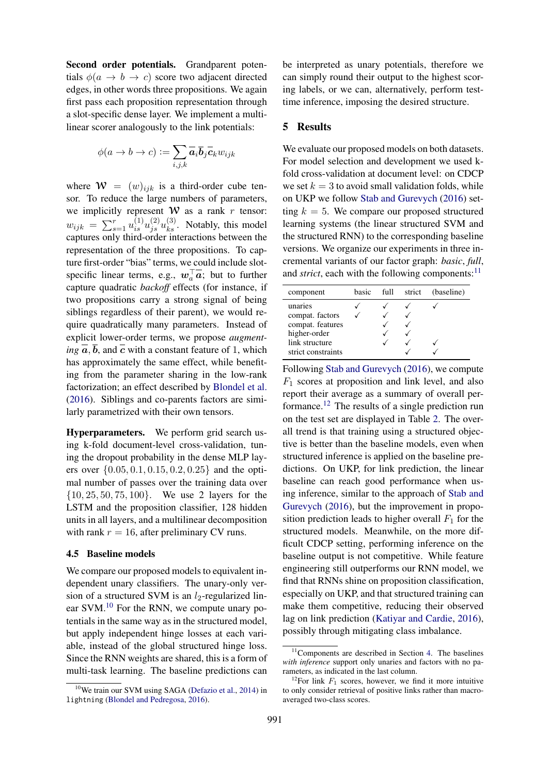Second order potentials. Grandparent potentials  $\phi(a \rightarrow b \rightarrow c)$  score two adjacent directed edges, in other words three propositions. We again first pass each proposition representation through a slot-specific dense layer. We implement a multilinear scorer analogously to the link potentials:

$$
\phi(a \to b \to c) := \sum_{i,j,k} \overline{a}_i \overline{b}_j \overline{c}_k w_{ijk}
$$

where  $\mathcal{W} = (w)_{iik}$  is a third-order cube tensor. To reduce the large numbers of parameters, we implicitly represent  $W$  as a rank r tensor:  $w_{ijk} = \sum_{s=1}^{r} u_{is}^{(1)} u_{js}^{(2)} u_{ks}^{(3)}$ . Notably, this model captures only third-order interactions between the representation of the three propositions. To capture first-order "bias" terms, we could include slotspecific linear terms, e.g.,  $w_a^{\dagger} a$ ; but to further capture quadratic *backoff* effects (for instance, if two propositions carry a strong signal of being siblings regardless of their parent), we would require quadratically many parameters. Instead of explicit lower-order terms, we propose *augmenting*  $\overline{a}$ ,  $\overline{b}$ , and  $\overline{c}$  with a constant feature of 1, which has approximately the same effect, while benefiting from the parameter sharing in the low-rank factorization; an effect described by Blondel et al. (2016). Siblings and co-parents factors are similarly parametrized with their own tensors.

Hyperparameters. We perform grid search using k-fold document-level cross-validation, tuning the dropout probability in the dense MLP layers over  $\{0.05, 0.1, 0.15, 0.2, 0.25\}$  and the optimal number of passes over the training data over {10, 25, 50, 75, 100}. We use 2 layers for the LSTM and the proposition classifier, 128 hidden units in all layers, and a multilinear decomposition with rank  $r = 16$ , after preliminary CV runs.

#### 4.5 Baseline models

We compare our proposed models to equivalent independent unary classifiers. The unary-only version of a structured SVM is an  $l_2$ -regularized linear SVM.<sup>10</sup> For the RNN, we compute unary potentials in the same way as in the structured model, but apply independent hinge losses at each variable, instead of the global structured hinge loss. Since the RNN weights are shared, this is a form of multi-task learning. The baseline predictions can be interpreted as unary potentials, therefore we can simply round their output to the highest scoring labels, or we can, alternatively, perform testtime inference, imposing the desired structure.

## 5 Results

We evaluate our proposed models on both datasets. For model selection and development we used kfold cross-validation at document level: on CDCP we set  $k = 3$  to avoid small validation folds, while on UKP we follow Stab and Gurevych (2016) setting  $k = 5$ . We compare our proposed structured learning systems (the linear structured SVM and the structured RNN) to the corresponding baseline versions. We organize our experiments in three incremental variants of our factor graph: *basic*, *full*, and *strict*, each with the following components: $11$ 

| component          | hasic | full | strict | (baseline) |
|--------------------|-------|------|--------|------------|
| unaries            |       |      |        |            |
| compat. factors    |       |      |        |            |
| compat. features   |       |      |        |            |
| higher-order       |       |      |        |            |
| link structure     |       |      |        |            |
| strict constraints |       |      |        |            |

Following Stab and Gurevych (2016), we compute  $F_1$  scores at proposition and link level, and also report their average as a summary of overall performance.<sup>12</sup> The results of a single prediction run on the test set are displayed in Table 2. The overall trend is that training using a structured objective is better than the baseline models, even when structured inference is applied on the baseline predictions. On UKP, for link prediction, the linear baseline can reach good performance when using inference, similar to the approach of Stab and Gurevych (2016), but the improvement in proposition prediction leads to higher overall  $F_1$  for the structured models. Meanwhile, on the more difficult CDCP setting, performing inference on the baseline output is not competitive. While feature engineering still outperforms our RNN model, we find that RNNs shine on proposition classification, especially on UKP, and that structured training can make them competitive, reducing their observed lag on link prediction (Katiyar and Cardie, 2016), possibly through mitigating class imbalance.

<sup>&</sup>lt;sup>10</sup>We train our SVM using SAGA (Defazio et al., 2014) in lightning (Blondel and Pedregosa, 2016).

<sup>&</sup>lt;sup>11</sup>Components are described in Section 4. The baselines *with inference* support only unaries and factors with no parameters, as indicated in the last column.

<sup>&</sup>lt;sup>12</sup>For link  $F_1$  scores, however, we find it more intuitive to only consider retrieval of positive links rather than macroaveraged two-class scores.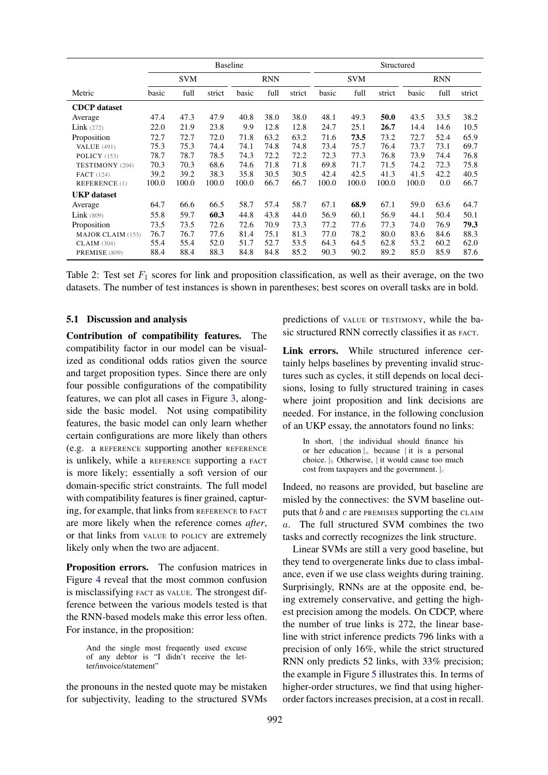|                          | <b>Baseline</b> |       |        |            | Structured |            |       |            |        |       |      |        |
|--------------------------|-----------------|-------|--------|------------|------------|------------|-------|------------|--------|-------|------|--------|
|                          | <b>SVM</b>      |       |        | <b>RNN</b> |            | <b>SVM</b> |       | <b>RNN</b> |        |       |      |        |
| Metric                   | basic           | full  | strict | basic      | full       | strict     | basic | full       | strict | basic | full | strict |
| <b>CDCP</b> dataset      |                 |       |        |            |            |            |       |            |        |       |      |        |
| Average                  | 47.4            | 47.3  | 47.9   | 40.8       | 38.0       | 38.0       | 48.1  | 49.3       | 50.0   | 43.5  | 33.5 | 38.2   |
| Link(272)                | 22.0            | 21.9  | 23.8   | 9.9        | 12.8       | 12.8       | 24.7  | 25.1       | 26.7   | 14.4  | 14.6 | 10.5   |
| Proposition              | 72.7            | 72.7  | 72.0   | 71.8       | 63.2       | 63.2       | 71.6  | 73.5       | 73.2   | 72.7  | 52.4 | 65.9   |
| <b>VALUE</b> (491)       | 75.3            | 75.3  | 74.4   | 74.1       | 74.8       | 74.8       | 73.4  | 75.7       | 76.4   | 73.7  | 73.1 | 69.7   |
| POLICY (153)             | 78.7            | 78.7  | 78.5   | 74.3       | 72.2       | 72.2       | 72.3  | 77.3       | 76.8   | 73.9  | 74.4 | 76.8   |
| TESTIMONY (204)          | 70.3            | 70.3  | 68.6   | 74.6       | 71.8       | 71.8       | 69.8  | 71.7       | 71.5   | 74.2  | 72.3 | 75.8   |
| <b>FACT</b> (124)        | 39.2            | 39.2  | 38.3   | 35.8       | 30.5       | 30.5       | 42.4  | 42.5       | 41.3   | 41.5  | 42.2 | 40.5   |
| <b>REFERENCE</b> (1)     | 100.0           | 100.0 | 100.0  | 100.0      | 66.7       | 66.7       | 100.0 | 100.0      | 100.0  | 100.0 | 0.0  | 66.7   |
| <b>UKP</b> dataset       |                 |       |        |            |            |            |       |            |        |       |      |        |
| Average                  | 64.7            | 66.6  | 66.5   | 58.7       | 57.4       | 58.7       | 67.1  | 68.9       | 67.1   | 59.0  | 63.6 | 64.7   |
| Link(809)                | 55.8            | 59.7  | 60.3   | 44.8       | 43.8       | 44.0       | 56.9  | 60.1       | 56.9   | 44.1  | 50.4 | 50.1   |
| Proposition              | 73.5            | 73.5  | 72.6   | 72.6       | 70.9       | 73.3       | 77.2  | 77.6       | 77.3   | 74.0  | 76.9 | 79.3   |
| <b>MAJOR CLAIM (153)</b> | 76.7            | 76.7  | 77.6   | 81.4       | 75.1       | 81.3       | 77.0  | 78.2       | 80.0   | 83.6  | 84.6 | 88.3   |
| <b>CLAIM</b> (304)       | 55.4            | 55.4  | 52.0   | 51.7       | 52.7       | 53.5       | 64.3  | 64.5       | 62.8   | 53.2  | 60.2 | 62.0   |
| PREMISE (809)            | 88.4            | 88.4  | 88.3   | 84.8       | 84.8       | 85.2       | 90.3  | 90.2       | 89.2   | 85.0  | 85.9 | 87.6   |

Table 2: Test set  $F_1$  scores for link and proposition classification, as well as their average, on the two datasets. The number of test instances is shown in parentheses; best scores on overall tasks are in bold.

#### 5.1 Discussion and analysis

Contribution of compatibility features. The compatibility factor in our model can be visualized as conditional odds ratios given the source and target proposition types. Since there are only four possible configurations of the compatibility features, we can plot all cases in Figure 3, alongside the basic model. Not using compatibility features, the basic model can only learn whether certain configurations are more likely than others (e.g. a REFERENCE supporting another REFERENCE is unlikely, while a REFERENCE supporting a FACT is more likely; essentially a soft version of our domain-specific strict constraints. The full model with compatibility features is finer grained, capturing, for example, that links from REFERENCE to FACT are more likely when the reference comes *after*, or that links from VALUE to POLICY are extremely likely only when the two are adjacent.

Proposition errors. The confusion matrices in Figure 4 reveal that the most common confusion is misclassifying FACT as VALUE. The strongest difference between the various models tested is that the RNN-based models make this error less often. For instance, in the proposition:

And the single most frequently used excuse of any debtor is "I didn't receive the letter/invoice/statement"

the pronouns in the nested quote may be mistaken for subjectivity, leading to the structured SVMs

predictions of VALUE or TESTIMONY, while the basic structured RNN correctly classifies it as FACT.

Link errors. While structured inference certainly helps baselines by preventing invalid structures such as cycles, it still depends on local decisions, losing to fully structured training in cases where joint proposition and link decisions are needed. For instance, in the following conclusion of an UKP essay, the annotators found no links:

> In short, [the individual should finance his or her education  $]_a$  because [it is a personal choice.  $\mathbf{b}_b$  Otherwise,  $\mathbf{c}_b$  it would cause too much cost from taxpayers and the government.  $]_c$

Indeed, no reasons are provided, but baseline are misled by the connectives: the SVM baseline outputs that  $b$  and  $c$  are PREMISES supporting the CLAIM a. The full structured SVM combines the two tasks and correctly recognizes the link structure.

Linear SVMs are still a very good baseline, but they tend to overgenerate links due to class imbalance, even if we use class weights during training. Surprisingly, RNNs are at the opposite end, being extremely conservative, and getting the highest precision among the models. On CDCP, where the number of true links is 272, the linear baseline with strict inference predicts 796 links with a precision of only 16%, while the strict structured RNN only predicts 52 links, with 33% precision; the example in Figure 5 illustrates this. In terms of higher-order structures, we find that using higherorder factors increases precision, at a cost in recall.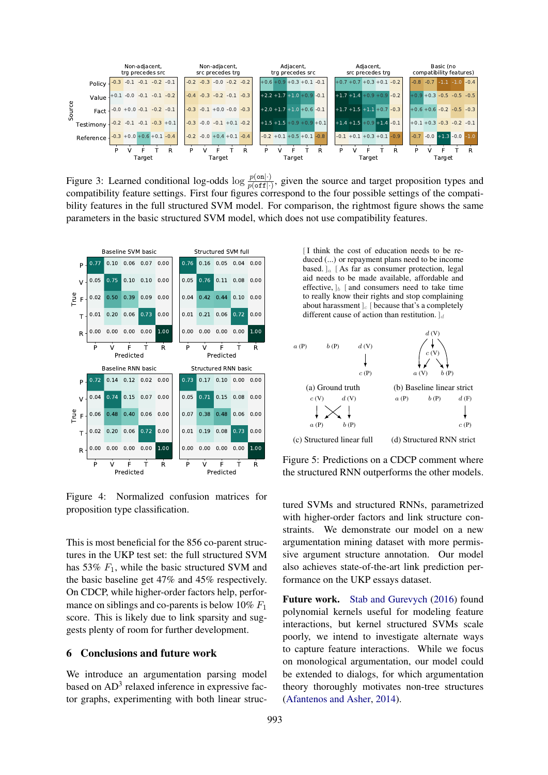

Figure 3: Learned conditional log-odds  $\log \frac{p(\text{on}|\cdot)}{p(\text{off}|\cdot)}$ , given the source and target proposition types and compatibility feature settings. First four figures correspond to the four possible settings of the compatibility features in the full structured SVM model. For comparison, the rightmost figure shows the same parameters in the basic structured SVM model, which does not use compatibility features.



Figure 4: Normalized confusion matrices for proposition type classification.

This is most beneficial for the 856 co-parent structures in the UKP test set: the full structured SVM has 53%  $F_1$ , while the basic structured SVM and the basic baseline get 47% and 45% respectively. On CDCP, while higher-order factors help, performance on siblings and co-parents is below  $10\% F_1$ score. This is likely due to link sparsity and suggests plenty of room for further development.

#### 6 Conclusions and future work

We introduce an argumentation parsing model based on AD<sup>3</sup> relaxed inference in expressive factor graphs, experimenting with both linear struc[ I think the cost of education needs to be reduced (...) or repayment plans need to be income based.  $I_a$  [As far as consumer protection, legal aid needs to be made available, affordable and effective,  $\vert_b \vert$  and consumers need to take time to really know their rights and stop complaining about harassment  $c$  [ because that's a completely different cause of action than restitution.  $]_d$ 



Figure 5: Predictions on a CDCP comment where the structured RNN outperforms the other models.

tured SVMs and structured RNNs, parametrized with higher-order factors and link structure constraints. We demonstrate our model on a new argumentation mining dataset with more permissive argument structure annotation. Our model also achieves state-of-the-art link prediction performance on the UKP essays dataset.

Future work. Stab and Gurevych (2016) found polynomial kernels useful for modeling feature interactions, but kernel structured SVMs scale poorly, we intend to investigate alternate ways to capture feature interactions. While we focus on monological argumentation, our model could be extended to dialogs, for which argumentation theory thoroughly motivates non-tree structures (Afantenos and Asher, 2014).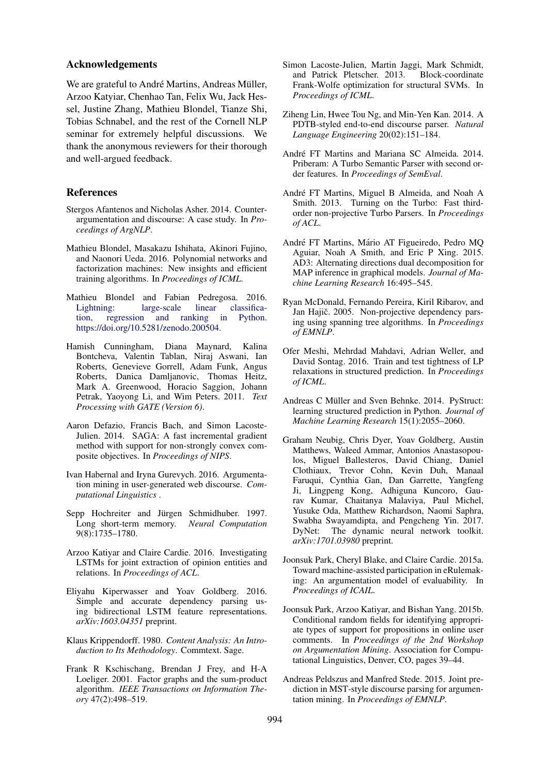### Acknowledgements

We are grateful to André Martins, Andreas Müller, Arzoo Katyiar, Chenhao Tan, Felix Wu, Jack Hessel, Justine Zhang, Mathieu Blondel, Tianze Shi, Tobias Schnabel, and the rest of the Cornell NLP seminar for extremely helpful discussions. We thank the anonymous reviewers for their thorough and well-argued feedback.

#### References

- Stergos Afantenos and Nicholas Asher. 2014. Counterargumentation and discourse: A case study. In *Proceedings of ArgNLP*.
- Mathieu Blondel, Masakazu Ishihata, Akinori Fujino, and Naonori Ueda. 2016. Polynomial networks and factorization machines: New insights and efficient training algorithms. In *Proceedings of ICML*.
- Mathieu Blondel and Fabian Pedregosa. 2016. Lightning: large-scale linear classification, regression and ranking in Python. tion, regression and ranking in Python. https://doi.org/10.5281/zenodo.200504.
- Hamish Cunningham, Diana Maynard, Kalina Bontcheva, Valentin Tablan, Niraj Aswani, Ian Roberts, Genevieve Gorrell, Adam Funk, Angus Roberts, Danica Damljanovic, Thomas Heitz, Mark A. Greenwood, Horacio Saggion, Johann Petrak, Yaoyong Li, and Wim Peters. 2011. *Text Processing with GATE (Version 6)*.
- Aaron Defazio, Francis Bach, and Simon Lacoste-Julien. 2014. SAGA: A fast incremental gradient method with support for non-strongly convex composite objectives. In *Proceedings of NIPS*.
- Ivan Habernal and Iryna Gurevych. 2016. Argumentation mining in user-generated web discourse. *Computational Linguistics* .
- Sepp Hochreiter and Jürgen Schmidhuber. 1997. Long short-term memory. *Neural Computation* 9(8):1735–1780.
- Arzoo Katiyar and Claire Cardie. 2016. Investigating LSTMs for joint extraction of opinion entities and relations. In *Proceedings of ACL*.
- Eliyahu Kiperwasser and Yoav Goldberg. 2016. Simple and accurate dependency parsing using bidirectional LSTM feature representations. *arXiv:1603.04351* preprint.
- Klaus Krippendorff. 1980. *Content Analysis: An Introduction to Its Methodology*. Commtext. Sage.
- Frank R Kschischang, Brendan J Frey, and H-A Loeliger. 2001. Factor graphs and the sum-product algorithm. *IEEE Transactions on Information Theory* 47(2):498–519.
- Simon Lacoste-Julien, Martin Jaggi, Mark Schmidt, and Patrick Pletscher. 2013. Block-coordinate Frank-Wolfe optimization for structural SVMs. In *Proceedings of ICML*.
- Ziheng Lin, Hwee Tou Ng, and Min-Yen Kan. 2014. A PDTB-styled end-to-end discourse parser. *Natural Language Engineering* 20(02):151–184.
- André FT Martins and Mariana SC Almeida. 2014. Priberam: A Turbo Semantic Parser with second order features. In *Proceedings of SemEval*.
- André FT Martins, Miguel B Almeida, and Noah A Smith. 2013. Turning on the Turbo: Fast thirdorder non-projective Turbo Parsers. In *Proceedings of ACL*.
- André FT Martins, Mário AT Figueiredo, Pedro MQ Aguiar, Noah A Smith, and Eric P Xing. 2015. AD3: Alternating directions dual decomposition for MAP inference in graphical models. *Journal of Machine Learning Research* 16:495–545.
- Ryan McDonald, Fernando Pereira, Kiril Ribarov, and Jan Hajič. 2005. Non-projective dependency parsing using spanning tree algorithms. In *Proceedings of EMNLP*.
- Ofer Meshi, Mehrdad Mahdavi, Adrian Weller, and David Sontag. 2016. Train and test tightness of LP relaxations in structured prediction. In *Proceedings of ICML*.
- Andreas C Müller and Sven Behnke. 2014. PyStruct: learning structured prediction in Python. *Journal of Machine Learning Research* 15(1):2055–2060.
- Graham Neubig, Chris Dyer, Yoav Goldberg, Austin Matthews, Waleed Ammar, Antonios Anastasopoulos, Miguel Ballesteros, David Chiang, Daniel Clothiaux, Trevor Cohn, Kevin Duh, Manaal Faruqui, Cynthia Gan, Dan Garrette, Yangfeng Ji, Lingpeng Kong, Adhiguna Kuncoro, Gaurav Kumar, Chaitanya Malaviya, Paul Michel, Yusuke Oda, Matthew Richardson, Naomi Saphra, Swabha Swayamdipta, and Pengcheng Yin. 2017. DyNet: The dynamic neural network toolkit. *arXiv:1701.03980* preprint.
- Joonsuk Park, Cheryl Blake, and Claire Cardie. 2015a. Toward machine-assisted participation in eRulemaking: An argumentation model of evaluability. In *Proceedings of ICAIL*.
- Joonsuk Park, Arzoo Katiyar, and Bishan Yang. 2015b. Conditional random fields for identifying appropriate types of support for propositions in online user comments. In *Proceedings of the 2nd Workshop on Argumentation Mining*. Association for Computational Linguistics, Denver, CO, pages 39–44.
- Andreas Peldszus and Manfred Stede. 2015. Joint prediction in MST-style discourse parsing for argumentation mining. In *Proceedings of EMNLP*.